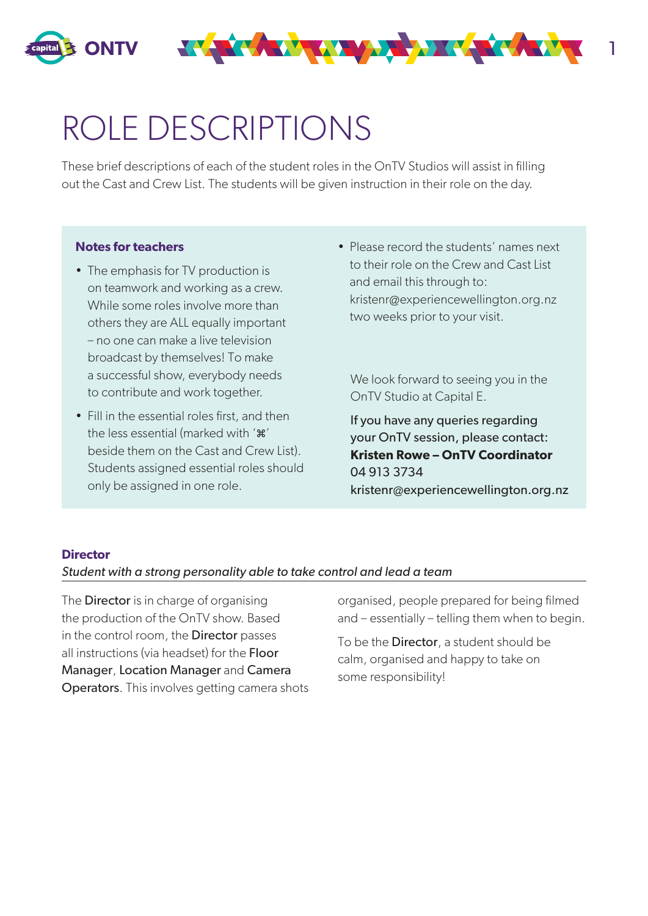

# ROLE DESCRIPTIONS

These brief descriptions of each of the student roles in the OnTV Studios will assist in filling out the Cast and Crew List. The students will be given instruction in their role on the day.

#### **Notes for teachers**

- The emphasis for TV production is on teamwork and working as a crew. While some roles involve more than others they are ALL equally important – no one can make a live television broadcast by themselves! To make a successful show, everybody needs to contribute and work together.
- Fill in the essential roles first, and then the less essential (marked with '\*' beside them on the Cast and Crew List). Students assigned essential roles should only be assigned in one role.
- Please record the students' names next to their role on the Crew and Cast List and email this through to: kristenr@experiencewellington.org.nz two weeks prior to your visit.

We look forward to seeing you in the OnTV Studio at Capital E.

If you have any queries regarding your OnTV session, please contact: **Kristen Rowe – OnTV Coordinator** 04 913 3734 kristenr@experiencewellington.org.nz

#### **Director**

#### *Student with a strong personality able to take control and lead a team*

The **Director** is in charge of organising the production of the OnTV show. Based in the control room, the **Director** passes all instructions (via headset) for the Floor Manager, Location Manager and Camera Operators. This involves getting camera shots organised, people prepared for being filmed and – essentially – telling them when to begin.

To be the **Director**, a student should be calm, organised and happy to take on some responsibility!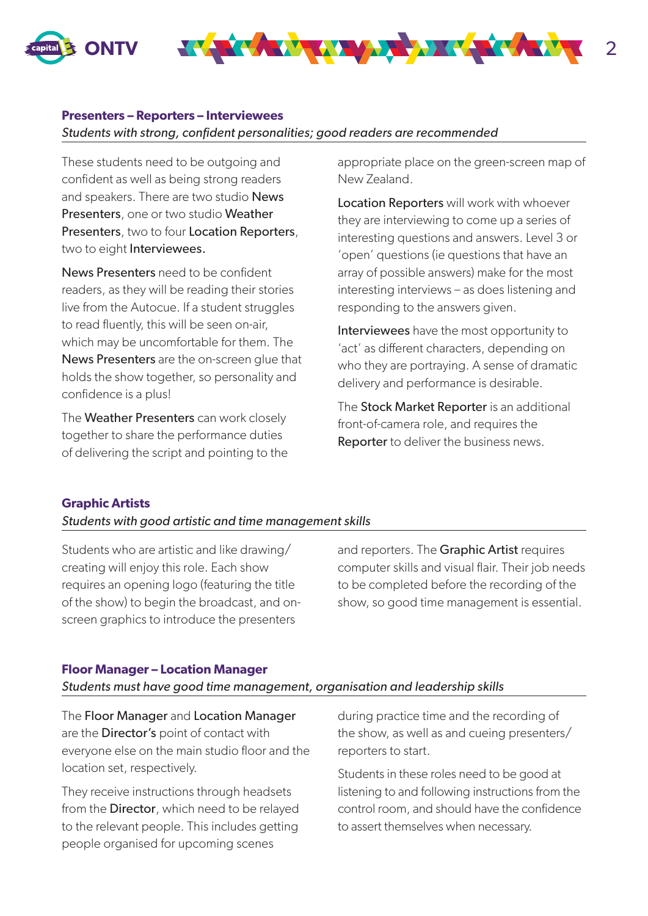



## **Presenters – Reporters – Interviewees**

*Students with strong, confident personalities; good readers are recommended*

These students need to be outgoing and confident as well as being strong readers and speakers. There are two studio News Presenters, one or two studio Weather Presenters, two to four Location Reporters, two to eight Interviewees.

News Presenters need to be confident readers, as they will be reading their stories live from the Autocue. If a student struggles to read fluently, this will be seen on-air, which may be uncomfortable for them. The News Presenters are the on-screen glue that holds the show together, so personality and confidence is a plus!

The Weather Presenters can work closely together to share the performance duties of delivering the script and pointing to the appropriate place on the green-screen map of New Zealand.

Location Reporters will work with whoever they are interviewing to come up a series of interesting questions and answers. Level 3 or 'open' questions (ie questions that have an array of possible answers) make for the most interesting interviews – as does listening and responding to the answers given.

Interviewees have the most opportunity to 'act' as different characters, depending on who they are portraying. A sense of dramatic delivery and performance is desirable.

The Stock Market Reporter is an additional front-of-camera role, and requires the **Reporter** to deliver the business news.

# **Graphic Artists**

# *Students with good artistic and time management skills*

Students who are artistic and like drawing/ creating will enjoy this role. Each show requires an opening logo (featuring the title of the show) to begin the broadcast, and onscreen graphics to introduce the presenters

and reporters. The Graphic Artist requires computer skills and visual flair. Their job needs to be completed before the recording of the show, so good time management is essential.

### **Floor Manager – Location Manager**

*Students must have good time management, organisation and leadership skills*

The Floor Manager and Location Manager are the **Director's** point of contact with everyone else on the main studio floor and the location set, respectively.

They receive instructions through headsets from the **Director**, which need to be relayed to the relevant people. This includes getting people organised for upcoming scenes

during practice time and the recording of the show, as well as and cueing presenters/ reporters to start.

Students in these roles need to be good at listening to and following instructions from the control room, and should have the confidence to assert themselves when necessary.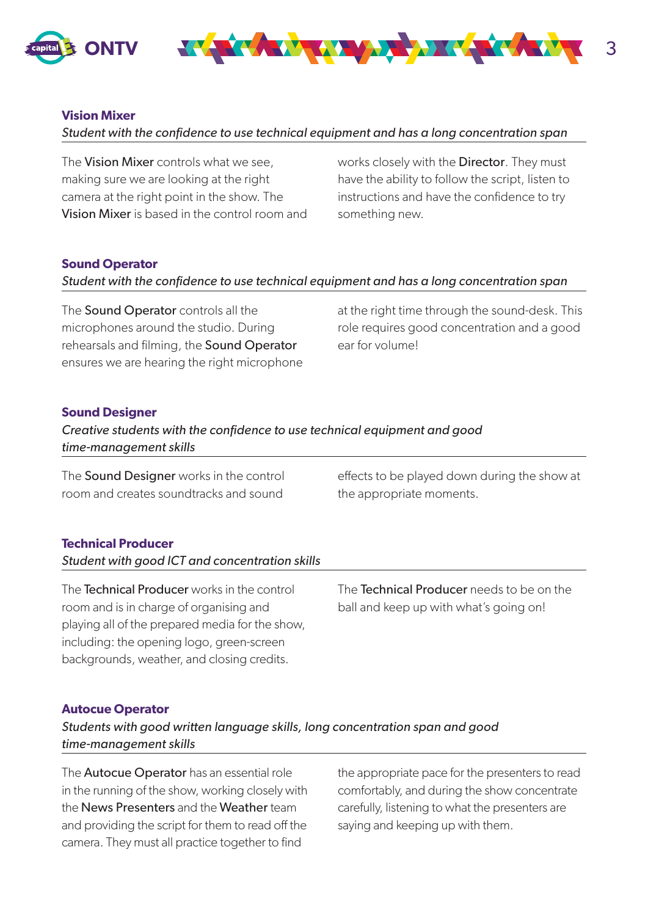



# **Vision Mixer**

*Student with the confidence to use technical equipment and has a long concentration span*

The Vision Mixer controls what we see, making sure we are looking at the right camera at the right point in the show. The Vision Mixer is based in the control room and works closely with the **Director**. They must have the ability to follow the script, listen to instructions and have the confidence to try something new.

## **Sound Operator**

# *Student with the confidence to use technical equipment and has a long concentration span*

The **Sound Operator** controls all the microphones around the studio. During rehearsals and filming, the Sound Operator ensures we are hearing the right microphone at the right time through the sound-desk. This role requires good concentration and a good ear for volume!

# **Sound Designer**

| Creative students with the confidence to use technical equipment and good |
|---------------------------------------------------------------------------|
| time-management skills                                                    |

The **Sound Designer** works in the control room and creates soundtracks and sound

effects to be played down during the show at the appropriate moments.

# **Technical Producer**

*Student with good ICT and concentration skills*

The Technical Producer works in the control room and is in charge of organising and playing all of the prepared media for the show, including: the opening logo, green-screen backgrounds, weather, and closing credits.

The Technical Producer needs to be on the ball and keep up with what's going on!

### **Autocue Operator**

*Students with good written language skills, long concentration span and good time-management skills*

The **Autocue Operator** has an essential role in the running of the show, working closely with the News Presenters and the Weather team and providing the script for them to read off the camera. They must all practice together to find

the appropriate pace for the presenters to read comfortably, and during the show concentrate carefully, listening to what the presenters are saying and keeping up with them.